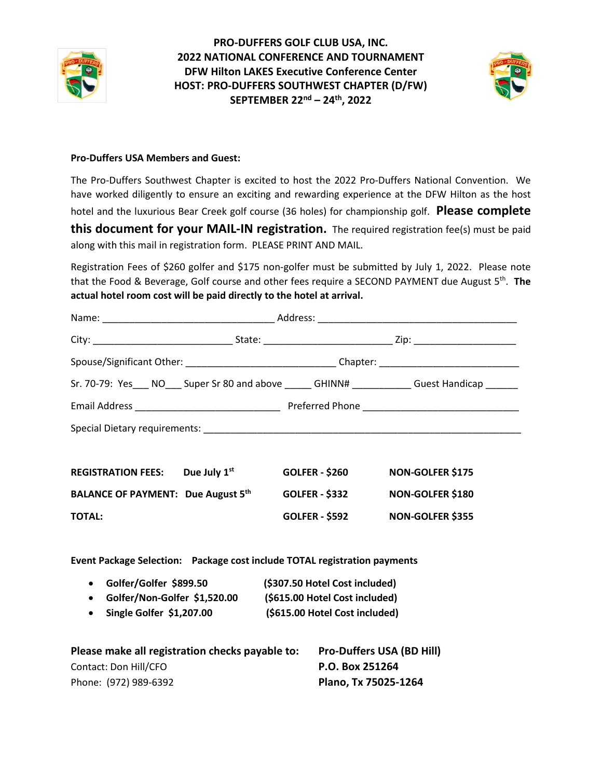



## **Pro-Duffers USA Members and Guest:**

The Pro-Duffers Southwest Chapter is excited to host the 2022 Pro-Duffers National Convention. We have worked diligently to ensure an exciting and rewarding experience at the DFW Hilton as the host hotel and the luxurious Bear Creek golf course (36 holes) for championship golf. **Please complete this document for your MAIL-IN registration.** The required registration fee(s) must be paid along with this mail in registration form. PLEASE PRINT AND MAIL.

Registration Fees of \$260 golfer and \$175 non-golfer must be submitted by July 1, 2022. Please note that the Food & Beverage, Golf course and other fees require a SECOND PAYMENT due August 5th. **The actual hotel room cost will be paid directly to the hotel at arrival.**

|                                                                           |                           |                                | Spouse/Significant Other: ________________________________Chapter: ________________________________ |  |
|---------------------------------------------------------------------------|---------------------------|--------------------------------|-----------------------------------------------------------------------------------------------------|--|
|                                                                           |                           |                                | Sr. 70-79: Yes___ NO___ Super Sr 80 and above _____ GHINN# __________ Guest Handicap ______         |  |
|                                                                           |                           |                                |                                                                                                     |  |
|                                                                           |                           |                                |                                                                                                     |  |
| <b>REGISTRATION FEES:</b> Due July 1st                                    |                           | <b>GOLFER - \$260</b>          | <b>NON-GOLFER \$175</b>                                                                             |  |
| <b>BALANCE OF PAYMENT: Due August 5th</b>                                 |                           | <b>GOLFER - \$332</b>          | NON-GOLFER \$180                                                                                    |  |
| <b>TOTAL:</b>                                                             |                           | <b>GOLFER - \$592</b>          | <b>NON-GOLFER \$355</b>                                                                             |  |
| Event Package Selection: Package cost include TOTAL registration payments |                           |                                |                                                                                                     |  |
| • Golfer/Golfer \$899.50                                                  |                           | (\$307.50 Hotel Cost included) |                                                                                                     |  |
| Golfer/Non-Golfer \$1,520.00 (\$615.00 Hotel Cost included)<br>$\bullet$  |                           |                                |                                                                                                     |  |
| $\bullet$                                                                 | Single Golfer $$1,207.00$ | (\$615.00 Hotel Cost included) |                                                                                                     |  |
| Please make all registration checks payable to: Pro-Duffers USA (BD Hill) |                           |                                |                                                                                                     |  |
| Contact: Don Hill/CFO                                                     |                           |                                | P.O. Box 251264                                                                                     |  |
| Phone: (972) 989-6392                                                     |                           | Plano, Tx 75025-1264           |                                                                                                     |  |